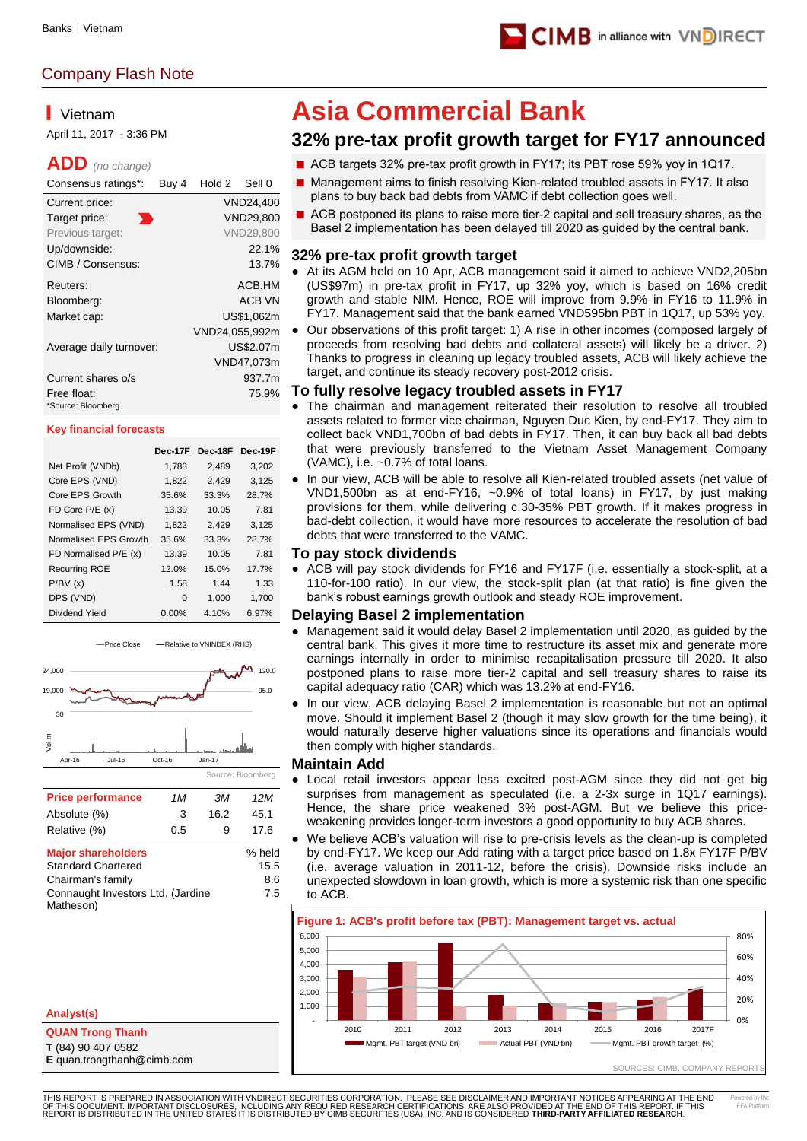# Company Flash Note

### ▎Vietnam

April 11, 2017 - 3:36 PM

## **ADD** *(no change)*

| Consensus ratings*:               | Buy 4 | Hold 2         | Sell 0           |
|-----------------------------------|-------|----------------|------------------|
| Current price:                    |       |                | VND24,400        |
| Target price:<br>D                |       |                | VND29,800        |
| Previous target:                  |       |                | <b>VND29,800</b> |
| Up/downside:                      |       |                | 22.1%            |
| CIMB / Consensus:                 |       |                | 13.7%            |
| Reuters:                          |       |                | ACB.HM           |
| Bloomberg:                        |       |                | <b>ACB VN</b>    |
| Market cap:                       |       |                | US\$1.062m       |
|                                   |       | VND24,055,992m |                  |
| Average daily turnover:           |       |                | US\$2.07m        |
|                                   |       |                | VND47,073m       |
| Current shares o/s                |       |                | 937.7m           |
| Free float:<br>*Source: Bloomberg |       |                | 75.9%            |

#### **Key financial forecasts**

|                       | Dec-17F  | Dec-18F | Dec-19F |
|-----------------------|----------|---------|---------|
| Net Profit (VNDb)     | 1,788    | 2,489   | 3,202   |
| Core EPS (VND)        | 1,822    | 2,429   | 3,125   |
| Core EPS Growth       | 35.6%    | 33.3%   | 28.7%   |
| FD Core $P/E(x)$      | 13.39    | 10.05   | 7.81    |
| Normalised EPS (VND)  | 1.822    | 2.429   | 3.125   |
| Normalised EPS Growth | 35.6%    | 33.3%   | 28.7%   |
| FD Normalised P/E (x) | 13.39    | 10.05   | 7.81    |
| <b>Recurring ROE</b>  | 12.0%    | 15.0%   | 17.7%   |
| P/BV(x)               | 1.58     | 1.44    | 1.33    |
| DPS (VND)             | $\Omega$ | 1.000   | 1.700   |
| Dividend Yield        | $0.00\%$ | 4.10%   | 6.97%   |



| <b>Price performance</b>                                                                                               | 1M  | .ЗM  | 12M                          |
|------------------------------------------------------------------------------------------------------------------------|-----|------|------------------------------|
| Absolute (%)                                                                                                           | 3   | 16.2 | 45.1                         |
| Relative (%)                                                                                                           | 0.5 | 9    | 17.6                         |
| <b>Major shareholders</b><br>Standard Chartered<br>Chairman's family<br>Connaught Investors Ltd. (Jardine<br>Matheson) |     |      | % held<br>15.5<br>8.6<br>7.5 |

**Analyst(s) QUAN Trong Thanh T** (84) 90 407 0582

**E** quan.trongthanh@cimb.com

# **Asia Commercial Bank**

# **32% pre-tax profit growth target for FY17 announced**

- ACB targets 32% pre-tax profit growth in FY17; its PBT rose 59% yoy in 1Q17.
- Management aims to finish resolving Kien-related troubled assets in FY17. It also plans to buy back bad debts from VAMC if debt collection goes well.
- ACB postponed its plans to raise more tier-2 capital and sell treasury shares, as the Basel 2 implementation has been delayed till 2020 as guided by the central bank.

#### **32% pre-tax profit growth target**

- At its AGM held on 10 Apr, ACB management said it aimed to achieve VND2,205bn (US\$97m) in pre-tax profit in FY17, up 32% yoy, which is based on 16% credit growth and stable NIM. Hence, ROE will improve from 9.9% in FY16 to 11.9% in FY17. Management said that the bank earned VND595bn PBT in 1Q17, up 53% yoy.
- Our observations of this profit target: 1) A rise in other incomes (composed largely of proceeds from resolving bad debts and collateral assets) will likely be a driver. 2) Thanks to progress in cleaning up legacy troubled assets, ACB will likely achieve the target, and continue its steady recovery post-2012 crisis.

#### **To fully resolve legacy troubled assets in FY17**

- The chairman and management reiterated their resolution to resolve all troubled assets related to former vice chairman, Nguyen Duc Kien, by end-FY17. They aim to collect back VND1,700bn of bad debts in FY17. Then, it can buy back all bad debts that were previously transferred to the Vietnam Asset Management Company (VAMC), i.e. ~0.7% of total loans.
- In our view, ACB will be able to resolve all Kien-related troubled assets (net value of VND1,500bn as at end-FY16, ~0.9% of total loans) in FY17, by just making provisions for them, while delivering c.30-35% PBT growth. If it makes progress in bad-debt collection, it would have more resources to accelerate the resolution of bad debts that were transferred to the VAMC.

#### **To pay stock dividends**

● ACB will pay stock dividends for FY16 and FY17F (i.e. essentially a stock-split, at a 110-for-100 ratio). In our view, the stock-split plan (at that ratio) is fine given the bank's robust earnings growth outlook and steady ROE improvement.

#### **Delaying Basel 2 implementation**

- Management said it would delay Basel 2 implementation until 2020, as guided by the central bank. This gives it more time to restructure its asset mix and generate more earnings internally in order to minimise recapitalisation pressure till 2020. It also postponed plans to raise more tier-2 capital and sell treasury shares to raise its capital adequacy ratio (CAR) which was 13.2% at end-FY16.
- In our view, ACB delaying Basel 2 implementation is reasonable but not an optimal move. Should it implement Basel 2 (though it may slow growth for the time being), it would naturally deserve higher valuations since its operations and financials would then comply with higher standards.

#### **Maintain Add**

- Local retail investors appear less excited post-AGM since they did not get big surprises from management as speculated (i.e. a 2-3x surge in 1Q17 earnings). Hence, the share price weakened 3% post-AGM. But we believe this priceweakening provides longer-term investors a good opportunity to buy ACB shares.
- We believe ACB's valuation will rise to pre-crisis levels as the clean-up is completed by end-FY17. We keep our Add rating with a target price based on 1.8x FY17F P/BV (i.e. average valuation in 2011-12, before the crisis). Downside risks include an unexpected slowdown in loan growth, which is more a systemic risk than one specific to ACB.



THIS REPORT IS PREPARED IN ASSOCIATION WITH VNDIRECT SECURITIES CORPORATION. PLEASE SEE DISCLAIMER AND IMPORTANT NOTICES APPEARING AT THE END<br>OF THIS DOCUMENT. IMPORTANT DISCLOSURES, INCLUDING ANY REQUIRED RESEARCH CERTIFI Powered by the owereu<br>FFA P

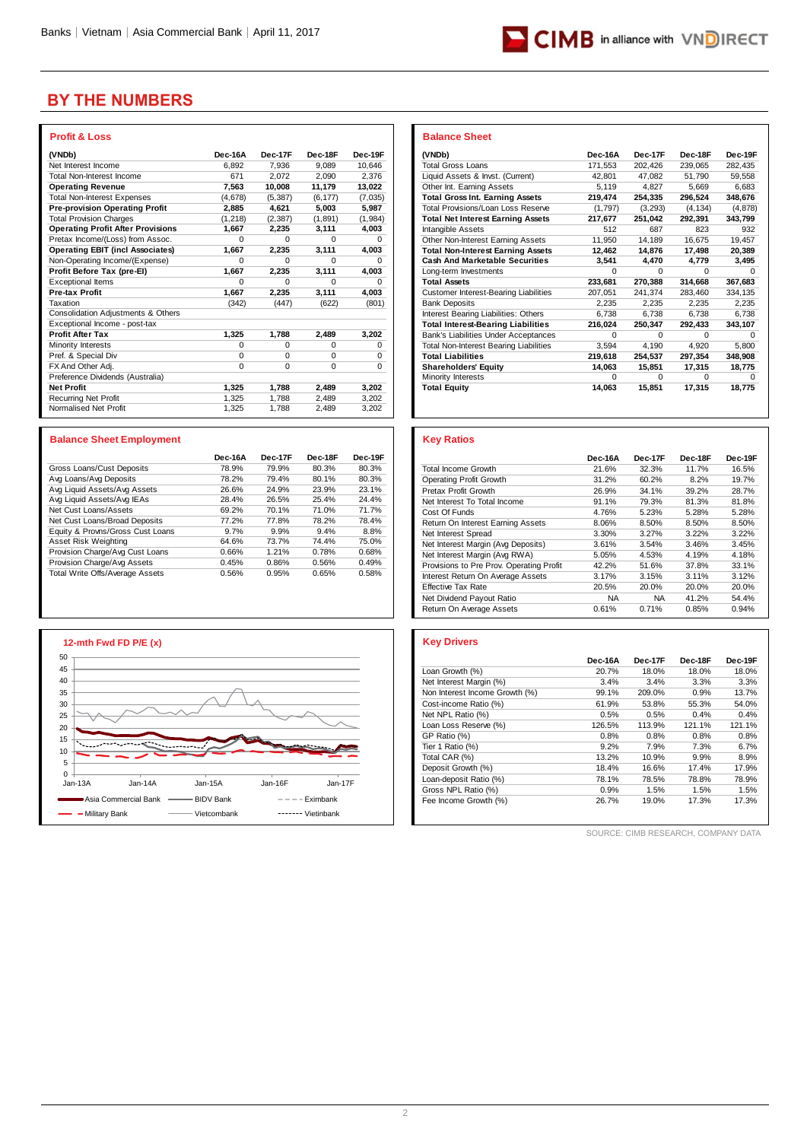

## **BY THE NUMBERS**

| <b>Profit &amp; Loss</b>                 |          |          |          |          |
|------------------------------------------|----------|----------|----------|----------|
| (VNDb)                                   | Dec-16A  | Dec-17F  | Dec-18F  | Dec-19F  |
| Net Interest Income                      | 6.892    | 7.936    | 9.089    | 10.646   |
| <b>Total Non-Interest Income</b>         | 671      | 2.072    | 2.090    | 2.376    |
| <b>Operating Revenue</b>                 | 7,563    | 10,008   | 11,179   | 13,022   |
| <b>Total Non-Interest Expenses</b>       | (4,678)  | (5, 387) | (6, 177) | (7,035)  |
| <b>Pre-provision Operating Profit</b>    | 2,885    | 4.621    | 5.003    | 5,987    |
| <b>Total Provision Charges</b>           | (1, 218) | (2, 387) | (1,891)  | (1,984)  |
| <b>Operating Profit After Provisions</b> | 1.667    | 2.235    | 3,111    | 4.003    |
| Pretax Income/(Loss) from Assoc.         | 0        | O        | 0        | O        |
| <b>Operating EBIT (incl Associates)</b>  | 1,667    | 2,235    | 3,111    | 4,003    |
| Non-Operating Income/(Expense)           | $\Omega$ | $\Omega$ | 0        | $\Omega$ |
| Profit Before Tax (pre-El)               | 1.667    | 2.235    | 3.111    | 4.003    |
| <b>Exceptional Items</b>                 | $\Omega$ | $\Omega$ | 0        | $\Omega$ |
| <b>Pre-tax Profit</b>                    | 1.667    | 2.235    | 3.111    | 4.003    |
| Taxation                                 | (342)    | (447)    | (622)    | (801)    |
| Consolidation Adjustments & Others       |          |          |          |          |
| Exceptional Income - post-tax            |          |          |          |          |
| <b>Profit After Tax</b>                  | 1,325    | 1.788    | 2.489    | 3,202    |
| Minority Interests                       | 0        | 0        | 0        | 0        |
| Pref. & Special Div                      | 0        | 0        | 0        | 0        |
| FX And Other Adj.                        | $\Omega$ | $\Omega$ | 0        | 0        |
| Preference Dividends (Australia)         |          |          |          |          |
| <b>Net Profit</b>                        | 1,325    | 1,788    | 2.489    | 3,202    |
| <b>Recurring Net Profit</b>              | 1.325    | 1.788    | 2.489    | 3.202    |
| Normalised Net Profit                    | 1,325    | 1,788    | 2,489    | 3,202    |

#### **Balance Sheet Employment**

|                                  | Dec-16A | Dec-17F | Dec-18F | Dec-19F |
|----------------------------------|---------|---------|---------|---------|
| Gross Loans/Cust Deposits        | 78.9%   | 79.9%   | 80.3%   | 80.3%   |
| Avg Loans/Avg Deposits           | 78.2%   | 79.4%   | 80.1%   | 80.3%   |
| Avg Liquid Assets/Avg Assets     | 26.6%   | 24.9%   | 23.9%   | 23.1%   |
| Avg Liquid Assets/Avg IEAs       | 28.4%   | 26.5%   | 25.4%   | 24.4%   |
| Net Cust Loans/Assets            | 69.2%   | 70.1%   | 71.0%   | 71.7%   |
| Net Cust Loans/Broad Deposits    | 77.2%   | 77.8%   | 78.2%   | 78.4%   |
| Equity & Provns/Gross Cust Loans | 9.7%    | 9.9%    | 9.4%    | 8.8%    |
| Asset Risk Weighting             | 64.6%   | 73.7%   | 74.4%   | 75.0%   |
| Provision Charge/Avg Cust Loans  | 0.66%   | 1.21%   | 0.78%   | 0.68%   |
| Provision Charge/Avg Assets      | 0.45%   | 0.86%   | 0.56%   | 0.49%   |
| Total Write Offs/Average Assets  | 0.56%   | 0.95%   | 0.65%   | 0.58%   |



#### **Balance Sheet**

| (VNDb)                                        | Dec-16A  | Dec-17F  | Dec-18F  | Dec-19F  |
|-----------------------------------------------|----------|----------|----------|----------|
| <b>Total Gross Loans</b>                      | 171,553  | 202,426  | 239,065  | 282,435  |
| Liquid Assets & Invst. (Current)              | 42.801   | 47.082   | 51,790   | 59.558   |
| Other Int. Eaming Assets                      | 5,119    | 4.827    | 5,669    | 6,683    |
| <b>Total Gross Int. Earning Assets</b>        | 219,474  | 254,335  | 296,524  | 348,676  |
| Total Provisions/Loan Loss Reserve            | (1,797)  | (3, 293) | (4, 134) | (4, 878) |
| <b>Total Net Interest Earning Assets</b>      | 217,677  | 251,042  | 292,391  | 343,799  |
| Intangible Assets                             | 512      | 687      | 823      | 932      |
| Other Non-Interest Earning Assets             | 11,950   | 14,189   | 16,675   | 19,457   |
| <b>Total Non-Interest Earning Assets</b>      | 12,462   | 14,876   | 17,498   | 20,389   |
| <b>Cash And Marketable Securities</b>         | 3,541    | 4,470    | 4,779    | 3,495    |
| Long-term Investments                         | $\Omega$ | $\Omega$ | 0        | $\Omega$ |
| <b>Total Assets</b>                           | 233,681  | 270,388  | 314,668  | 367,683  |
| <b>Customer Interest-Bearing Liabilities</b>  | 207,051  | 241,374  | 283,460  | 334,135  |
| <b>Bank Deposits</b>                          | 2,235    | 2,235    | 2,235    | 2,235    |
| Interest Bearing Liabilities: Others          | 6,738    | 6,738    | 6,738    | 6,738    |
| <b>Total Interest-Bearing Liabilities</b>     | 216,024  | 250,347  | 292,433  | 343,107  |
| Bank's Liabilities Under Acceptances          | $\Omega$ | O        | O        | O        |
| <b>Total Non-Interest Bearing Liabilities</b> | 3,594    | 4,190    | 4,920    | 5,800    |
| <b>Total Liabilities</b>                      | 219,618  | 254,537  | 297,354  | 348,908  |
| <b>Shareholders' Equity</b>                   | 14,063   | 15,851   | 17,315   | 18,775   |
| Minority Interests                            | $\Omega$ | $\Omega$ | 0        | $\Omega$ |
| <b>Total Equity</b>                           | 14,063   | 15,851   | 17,315   | 18,775   |

#### **Key Ratios**

|                                          | Dec-16A   | Dec-17F   | Dec-18F | Dec-19F |
|------------------------------------------|-----------|-----------|---------|---------|
| <b>Total Income Growth</b>               | 21.6%     | 32.3%     | 11.7%   | 16.5%   |
| Operating Profit Growth                  | 31.2%     | 60.2%     | 8.2%    | 19.7%   |
| Pretax Profit Growth                     | 26.9%     | 34.1%     | 39.2%   | 28.7%   |
| Net Interest To Total Income             | 91.1%     | 79.3%     | 81.3%   | 81.8%   |
| Cost Of Funds                            | 4.76%     | 5.23%     | 5.28%   | 5.28%   |
| Return On Interest Earning Assets        | 8.06%     | 8.50%     | 8.50%   | 8.50%   |
| Net Interest Spread                      | 3.30%     | 3.27%     | 3.22%   | 3.22%   |
| Net Interest Margin (Avg Deposits)       | 3.61%     | 3.54%     | 3.46%   | 3.45%   |
| Net Interest Margin (Avg RWA)            | 5.05%     | 4.53%     | 4.19%   | 4.18%   |
| Provisions to Pre Prov. Operating Profit | 42.2%     | 51.6%     | 37.8%   | 33.1%   |
| Interest Return On Average Assets        | 3.17%     | 3.15%     | 3.11%   | 3.12%   |
| <b>Effective Tax Rate</b>                | 20.5%     | 20.0%     | 20.0%   | 20.0%   |
| Net Dividend Payout Ratio                | <b>NA</b> | <b>NA</b> | 41.2%   | 54.4%   |
| Return On Average Assets                 | 0.61%     | 0.71%     | 0.85%   | 0.94%   |

#### **Key Drivers**

|                                | Dec-16A | Dec-17F | Dec-18F | Dec-19F |
|--------------------------------|---------|---------|---------|---------|
| Loan Growth (%)                | 20.7%   | 18.0%   | 18.0%   | 18.0%   |
| Net Interest Margin (%)        | 3.4%    | 3.4%    | 3.3%    | 3.3%    |
| Non Interest Income Growth (%) | 99.1%   | 209.0%  | 0.9%    | 13.7%   |
| Cost-income Ratio (%)          | 61.9%   | 53.8%   | 55.3%   | 54.0%   |
| Net NPL Ratio (%)              | 0.5%    | 0.5%    | 0.4%    | 0.4%    |
| Loan Loss Reserve (%)          | 126.5%  | 113.9%  | 121.1%  | 121.1%  |
| GP Ratio (%)                   | 0.8%    | 0.8%    | 0.8%    | 0.8%    |
| Tier 1 Ratio (%)               | 9.2%    | 7.9%    | 7.3%    | 6.7%    |
| Total CAR (%)                  | 13.2%   | 10.9%   | 9.9%    | 8.9%    |
| Deposit Growth (%)             | 18.4%   | 16.6%   | 17.4%   | 17.9%   |
| Loan-deposit Ratio (%)         | 78.1%   | 78.5%   | 78.8%   | 78.9%   |
| Gross NPL Ratio (%)            | 0.9%    | 1.5%    | 1.5%    | 1.5%    |
| Fee Income Growth (%)          | 26.7%   | 19.0%   | 17.3%   | 17.3%   |

SOURCE: CIMB RESEARCH, COMPANY DATA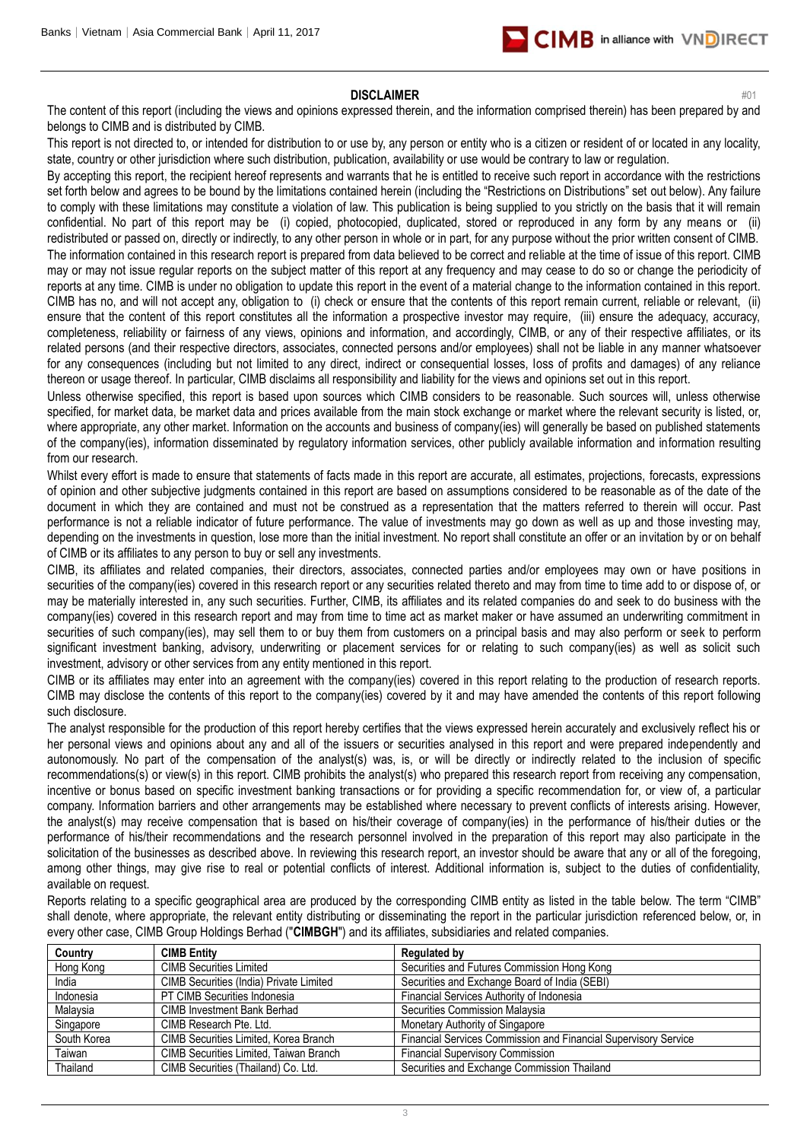

#### **DISCLAIMER** #01

The content of this report (including the views and opinions expressed therein, and the information comprised therein) has been prepared by and belongs to CIMB and is distributed by CIMB.

This report is not directed to, or intended for distribution to or use by, any person or entity who is a citizen or resident of or located in any locality, state, country or other jurisdiction where such distribution, publication, availability or use would be contrary to law or regulation.

By accepting this report, the recipient hereof represents and warrants that he is entitled to receive such report in accordance with the restrictions set forth below and agrees to be bound by the limitations contained herein (including the "Restrictions on Distributions" set out below). Any failure to comply with these limitations may constitute a violation of law. This publication is being supplied to you strictly on the basis that it will remain confidential. No part of this report may be (i) copied, photocopied, duplicated, stored or reproduced in any form by any means or (ii) redistributed or passed on, directly or indirectly, to any other person in whole or in part, for any purpose without the prior written consent of CIMB. The information contained in this research report is prepared from data believed to be correct and reliable at the time of issue of this report. CIMB may or may not issue regular reports on the subject matter of this report at any frequency and may cease to do so or change the periodicity of reports at any time. CIMB is under no obligation to update this report in the event of a material change to the information contained in this report. CIMB has no, and will not accept any, obligation to (i) check or ensure that the contents of this report remain current, reliable or relevant, (ii) ensure that the content of this report constitutes all the information a prospective investor may require, (iii) ensure the adequacy, accuracy, completeness, reliability or fairness of any views, opinions and information, and accordingly, CIMB, or any of their respective affiliates, or its related persons (and their respective directors, associates, connected persons and/or employees) shall not be liable in any manner whatsoever for any consequences (including but not limited to any direct, indirect or consequential losses, loss of profits and damages) of any reliance thereon or usage thereof. In particular, CIMB disclaims all responsibility and liability for the views and opinions set out in this report.

Unless otherwise specified, this report is based upon sources which CIMB considers to be reasonable. Such sources will, unless otherwise specified, for market data, be market data and prices available from the main stock exchange or market where the relevant security is listed, or, where appropriate, any other market. Information on the accounts and business of company(ies) will generally be based on published statements of the company(ies), information disseminated by regulatory information services, other publicly available information and information resulting from our research.

Whilst every effort is made to ensure that statements of facts made in this report are accurate, all estimates, projections, forecasts, expressions of opinion and other subjective judgments contained in this report are based on assumptions considered to be reasonable as of the date of the document in which they are contained and must not be construed as a representation that the matters referred to therein will occur. Past performance is not a reliable indicator of future performance. The value of investments may go down as well as up and those investing may, depending on the investments in question, lose more than the initial investment. No report shall constitute an offer or an invitation by or on behalf of CIMB or its affiliates to any person to buy or sell any investments.

CIMB, its affiliates and related companies, their directors, associates, connected parties and/or employees may own or have positions in securities of the company(ies) covered in this research report or any securities related thereto and may from time to time add to or dispose of, or may be materially interested in, any such securities. Further, CIMB, its affiliates and its related companies do and seek to do business with the company(ies) covered in this research report and may from time to time act as market maker or have assumed an underwriting commitment in securities of such company(ies), may sell them to or buy them from customers on a principal basis and may also perform or seek to perform significant investment banking, advisory, underwriting or placement services for or relating to such company(ies) as well as solicit such investment, advisory or other services from any entity mentioned in this report.

CIMB or its affiliates may enter into an agreement with the company(ies) covered in this report relating to the production of research reports. CIMB may disclose the contents of this report to the company(ies) covered by it and may have amended the contents of this report following such disclosure.

The analyst responsible for the production of this report hereby certifies that the views expressed herein accurately and exclusively reflect his or her personal views and opinions about any and all of the issuers or securities analysed in this report and were prepared independently and autonomously. No part of the compensation of the analyst(s) was, is, or will be directly or indirectly related to the inclusion of specific recommendations(s) or view(s) in this report. CIMB prohibits the analyst(s) who prepared this research report from receiving any compensation, incentive or bonus based on specific investment banking transactions or for providing a specific recommendation for, or view of, a particular company. Information barriers and other arrangements may be established where necessary to prevent conflicts of interests arising. However, the analyst(s) may receive compensation that is based on his/their coverage of company(ies) in the performance of his/their duties or the performance of his/their recommendations and the research personnel involved in the preparation of this report may also participate in the solicitation of the businesses as described above. In reviewing this research report, an investor should be aware that any or all of the foregoing, among other things, may give rise to real or potential conflicts of interest. Additional information is, subject to the duties of confidentiality, available on request.

Reports relating to a specific geographical area are produced by the corresponding CIMB entity as listed in the table below. The term "CIMB" shall denote, where appropriate, the relevant entity distributing or disseminating the report in the particular jurisdiction referenced below, or, in every other case, CIMB Group Holdings Berhad ("**CIMBGH**") and its affiliates, subsidiaries and related companies.

| Country     | <b>CIMB Entity</b>                      | <b>Regulated by</b>                                             |
|-------------|-----------------------------------------|-----------------------------------------------------------------|
| Hong Kong   | <b>CIMB Securities Limited</b>          | Securities and Futures Commission Hong Kong                     |
| India       | CIMB Securities (India) Private Limited | Securities and Exchange Board of India (SEBI)                   |
| Indonesia   | PT CIMB Securities Indonesia            | Financial Services Authority of Indonesia                       |
| Malaysia    | <b>CIMB Investment Bank Berhad</b>      | Securities Commission Malaysia                                  |
| Singapore   | CIMB Research Pte. Ltd.                 | Monetary Authority of Singapore                                 |
| South Korea | CIMB Securities Limited, Korea Branch   | Financial Services Commission and Financial Supervisory Service |
| Taiwan      | CIMB Securities Limited, Taiwan Branch  | <b>Financial Supervisory Commission</b>                         |
| Thailand    | CIMB Securities (Thailand) Co. Ltd.     | Securities and Exchange Commission Thailand                     |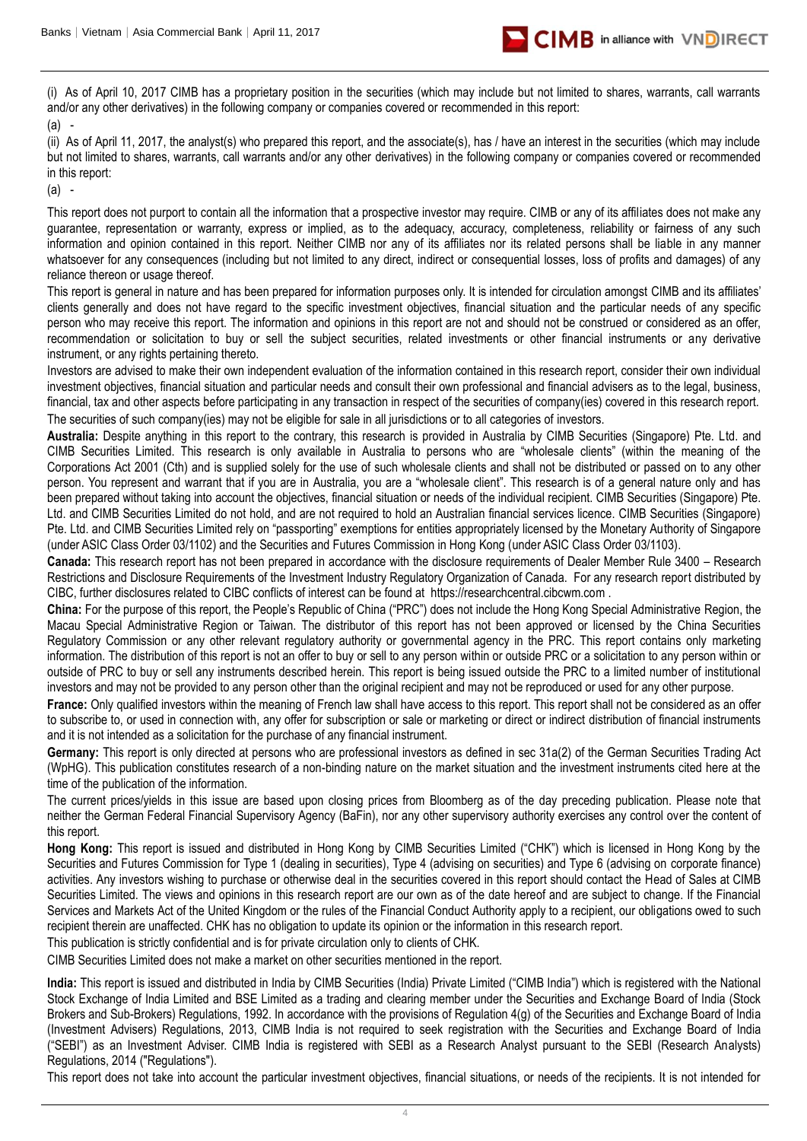

(i) As of April 10, 2017 CIMB has a proprietary position in the securities (which may include but not limited to shares, warrants, call warrants and/or any other derivatives) in the following company or companies covered or recommended in this report:

(a) -

(ii) As of April 11, 2017, the analyst(s) who prepared this report, and the associate(s), has / have an interest in the securities (which may include but not limited to shares, warrants, call warrants and/or any other derivatives) in the following company or companies covered or recommended in this report:

(a) -

This report does not purport to contain all the information that a prospective investor may require. CIMB or any of its affiliates does not make any guarantee, representation or warranty, express or implied, as to the adequacy, accuracy, completeness, reliability or fairness of any such information and opinion contained in this report. Neither CIMB nor any of its affiliates nor its related persons shall be liable in any manner whatsoever for any consequences (including but not limited to any direct, indirect or consequential losses, loss of profits and damages) of any reliance thereon or usage thereof.

This report is general in nature and has been prepared for information purposes only. It is intended for circulation amongst CIMB and its affiliates' clients generally and does not have regard to the specific investment objectives, financial situation and the particular needs of any specific person who may receive this report. The information and opinions in this report are not and should not be construed or considered as an offer, recommendation or solicitation to buy or sell the subject securities, related investments or other financial instruments or any derivative instrument, or any rights pertaining thereto.

Investors are advised to make their own independent evaluation of the information contained in this research report, consider their own individual investment objectives, financial situation and particular needs and consult their own professional and financial advisers as to the legal, business, financial, tax and other aspects before participating in any transaction in respect of the securities of company(ies) covered in this research report. The securities of such company(ies) may not be eligible for sale in all jurisdictions or to all categories of investors.

**Australia:** Despite anything in this report to the contrary, this research is provided in Australia by CIMB Securities (Singapore) Pte. Ltd. and CIMB Securities Limited. This research is only available in Australia to persons who are "wholesale clients" (within the meaning of the Corporations Act 2001 (Cth) and is supplied solely for the use of such wholesale clients and shall not be distributed or passed on to any other person. You represent and warrant that if you are in Australia, you are a "wholesale client". This research is of a general nature only and has been prepared without taking into account the objectives, financial situation or needs of the individual recipient. CIMB Securities (Singapore) Pte. Ltd. and CIMB Securities Limited do not hold, and are not required to hold an Australian financial services licence. CIMB Securities (Singapore) Pte. Ltd. and CIMB Securities Limited rely on "passporting" exemptions for entities appropriately licensed by the Monetary Authority of Singapore (under ASIC Class Order 03/1102) and the Securities and Futures Commission in Hong Kong (under ASIC Class Order 03/1103).

**Canada:** This research report has not been prepared in accordance with the disclosure requirements of Dealer Member Rule 3400 – Research Restrictions and Disclosure Requirements of the Investment Industry Regulatory Organization of Canada. For any research report distributed by CIBC, further disclosures related to CIBC conflicts of interest can be found at https://researchcentral.cibcwm.com .

**China:** For the purpose of this report, the People's Republic of China ("PRC") does not include the Hong Kong Special Administrative Region, the Macau Special Administrative Region or Taiwan. The distributor of this report has not been approved or licensed by the China Securities Regulatory Commission or any other relevant regulatory authority or governmental agency in the PRC. This report contains only marketing information. The distribution of this report is not an offer to buy or sell to any person within or outside PRC or a solicitation to any person within or outside of PRC to buy or sell any instruments described herein. This report is being issued outside the PRC to a limited number of institutional investors and may not be provided to any person other than the original recipient and may not be reproduced or used for any other purpose.

France: Only qualified investors within the meaning of French law shall have access to this report. This report shall not be considered as an offer to subscribe to, or used in connection with, any offer for subscription or sale or marketing or direct or indirect distribution of financial instruments and it is not intended as a solicitation for the purchase of any financial instrument.

**Germany:** This report is only directed at persons who are professional investors as defined in sec 31a(2) of the German Securities Trading Act (WpHG). This publication constitutes research of a non-binding nature on the market situation and the investment instruments cited here at the time of the publication of the information.

The current prices/yields in this issue are based upon closing prices from Bloomberg as of the day preceding publication. Please note that neither the German Federal Financial Supervisory Agency (BaFin), nor any other supervisory authority exercises any control over the content of this report.

**Hong Kong:** This report is issued and distributed in Hong Kong by CIMB Securities Limited ("CHK") which is licensed in Hong Kong by the Securities and Futures Commission for Type 1 (dealing in securities), Type 4 (advising on securities) and Type 6 (advising on corporate finance) activities. Any investors wishing to purchase or otherwise deal in the securities covered in this report should contact the Head of Sales at CIMB Securities Limited. The views and opinions in this research report are our own as of the date hereof and are subject to change. If the Financial Services and Markets Act of the United Kingdom or the rules of the Financial Conduct Authority apply to a recipient, our obligations owed to such recipient therein are unaffected. CHK has no obligation to update its opinion or the information in this research report.

This publication is strictly confidential and is for private circulation only to clients of CHK.

CIMB Securities Limited does not make a market on other securities mentioned in the report.

**India:** This report is issued and distributed in India by CIMB Securities (India) Private Limited ("CIMB India") which is registered with the National Stock Exchange of India Limited and BSE Limited as a trading and clearing member under the Securities and Exchange Board of India (Stock Brokers and Sub-Brokers) Regulations, 1992. In accordance with the provisions of Regulation 4(g) of the Securities and Exchange Board of India (Investment Advisers) Regulations, 2013, CIMB India is not required to seek registration with the Securities and Exchange Board of India ("SEBI") as an Investment Adviser. CIMB India is registered with SEBI as a Research Analyst pursuant to the SEBI (Research Analysts) Regulations, 2014 ("Regulations").

This report does not take into account the particular investment objectives, financial situations, or needs of the recipients. It is not intended for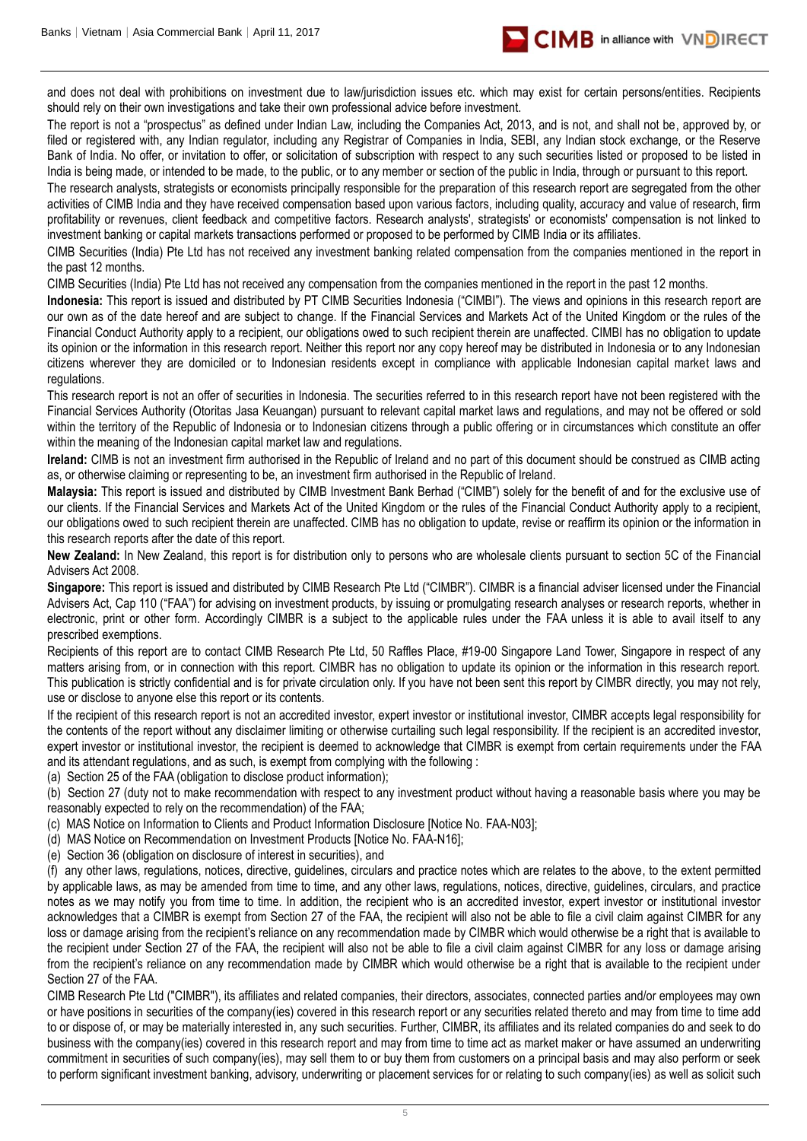

and does not deal with prohibitions on investment due to law/jurisdiction issues etc. which may exist for certain persons/entities. Recipients should rely on their own investigations and take their own professional advice before investment.

The report is not a "prospectus" as defined under Indian Law, including the Companies Act, 2013, and is not, and shall not be, approved by, or filed or registered with, any Indian regulator, including any Registrar of Companies in India, SEBI, any Indian stock exchange, or the Reserve Bank of India. No offer, or invitation to offer, or solicitation of subscription with respect to any such securities listed or proposed to be listed in India is being made, or intended to be made, to the public, or to any member or section of the public in India, through or pursuant to this report.

The research analysts, strategists or economists principally responsible for the preparation of this research report are segregated from the other activities of CIMB India and they have received compensation based upon various factors, including quality, accuracy and value of research, firm profitability or revenues, client feedback and competitive factors. Research analysts', strategists' or economists' compensation is not linked to investment banking or capital markets transactions performed or proposed to be performed by CIMB India or its affiliates.

CIMB Securities (India) Pte Ltd has not received any investment banking related compensation from the companies mentioned in the report in the past 12 months.

CIMB Securities (India) Pte Ltd has not received any compensation from the companies mentioned in the report in the past 12 months.

**Indonesia:** This report is issued and distributed by PT CIMB Securities Indonesia ("CIMBI"). The views and opinions in this research report are our own as of the date hereof and are subject to change. If the Financial Services and Markets Act of the United Kingdom or the rules of the Financial Conduct Authority apply to a recipient, our obligations owed to such recipient therein are unaffected. CIMBI has no obligation to update its opinion or the information in this research report. Neither this report nor any copy hereof may be distributed in Indonesia or to any Indonesian citizens wherever they are domiciled or to Indonesian residents except in compliance with applicable Indonesian capital market laws and regulations.

This research report is not an offer of securities in Indonesia. The securities referred to in this research report have not been registered with the Financial Services Authority (Otoritas Jasa Keuangan) pursuant to relevant capital market laws and regulations, and may not be offered or sold within the territory of the Republic of Indonesia or to Indonesian citizens through a public offering or in circumstances which constitute an offer within the meaning of the Indonesian capital market law and regulations.

**Ireland:** CIMB is not an investment firm authorised in the Republic of Ireland and no part of this document should be construed as CIMB acting as, or otherwise claiming or representing to be, an investment firm authorised in the Republic of Ireland.

**Malaysia:** This report is issued and distributed by CIMB Investment Bank Berhad ("CIMB") solely for the benefit of and for the exclusive use of our clients. If the Financial Services and Markets Act of the United Kingdom or the rules of the Financial Conduct Authority apply to a recipient, our obligations owed to such recipient therein are unaffected. CIMB has no obligation to update, revise or reaffirm its opinion or the information in this research reports after the date of this report.

**New Zealand:** In New Zealand, this report is for distribution only to persons who are wholesale clients pursuant to section 5C of the Financial Advisers Act 2008.

**Singapore:** This report is issued and distributed by CIMB Research Pte Ltd ("CIMBR"). CIMBR is a financial adviser licensed under the Financial Advisers Act, Cap 110 ("FAA") for advising on investment products, by issuing or promulgating research analyses or research reports, whether in electronic, print or other form. Accordingly CIMBR is a subject to the applicable rules under the FAA unless it is able to avail itself to any prescribed exemptions.

Recipients of this report are to contact CIMB Research Pte Ltd, 50 Raffles Place, #19-00 Singapore Land Tower, Singapore in respect of any matters arising from, or in connection with this report. CIMBR has no obligation to update its opinion or the information in this research report. This publication is strictly confidential and is for private circulation only. If you have not been sent this report by CIMBR directly, you may not rely, use or disclose to anyone else this report or its contents.

If the recipient of this research report is not an accredited investor, expert investor or institutional investor, CIMBR accepts legal responsibility for the contents of the report without any disclaimer limiting or otherwise curtailing such legal responsibility. If the recipient is an accredited investor, expert investor or institutional investor, the recipient is deemed to acknowledge that CIMBR is exempt from certain requirements under the FAA and its attendant regulations, and as such, is exempt from complying with the following :

(a) Section 25 of the FAA (obligation to disclose product information);

(b) Section 27 (duty not to make recommendation with respect to any investment product without having a reasonable basis where you may be reasonably expected to rely on the recommendation) of the FAA;

- (c) MAS Notice on Information to Clients and Product Information Disclosure [Notice No. FAA-N03];
- (d) MAS Notice on Recommendation on Investment Products [Notice No. FAA-N16];

(e) Section 36 (obligation on disclosure of interest in securities), and

(f) any other laws, regulations, notices, directive, guidelines, circulars and practice notes which are relates to the above, to the extent permitted by applicable laws, as may be amended from time to time, and any other laws, regulations, notices, directive, guidelines, circulars, and practice notes as we may notify you from time to time. In addition, the recipient who is an accredited investor, expert investor or institutional investor acknowledges that a CIMBR is exempt from Section 27 of the FAA, the recipient will also not be able to file a civil claim against CIMBR for any loss or damage arising from the recipient's reliance on any recommendation made by CIMBR which would otherwise be a right that is available to the recipient under Section 27 of the FAA, the recipient will also not be able to file a civil claim against CIMBR for any loss or damage arising from the recipient's reliance on any recommendation made by CIMBR which would otherwise be a right that is available to the recipient under Section 27 of the FAA.

CIMB Research Pte Ltd ("CIMBR"), its affiliates and related companies, their directors, associates, connected parties and/or employees may own or have positions in securities of the company(ies) covered in this research report or any securities related thereto and may from time to time add to or dispose of, or may be materially interested in, any such securities. Further, CIMBR, its affiliates and its related companies do and seek to do business with the company(ies) covered in this research report and may from time to time act as market maker or have assumed an underwriting commitment in securities of such company(ies), may sell them to or buy them from customers on a principal basis and may also perform or seek to perform significant investment banking, advisory, underwriting or placement services for or relating to such company(ies) as well as solicit such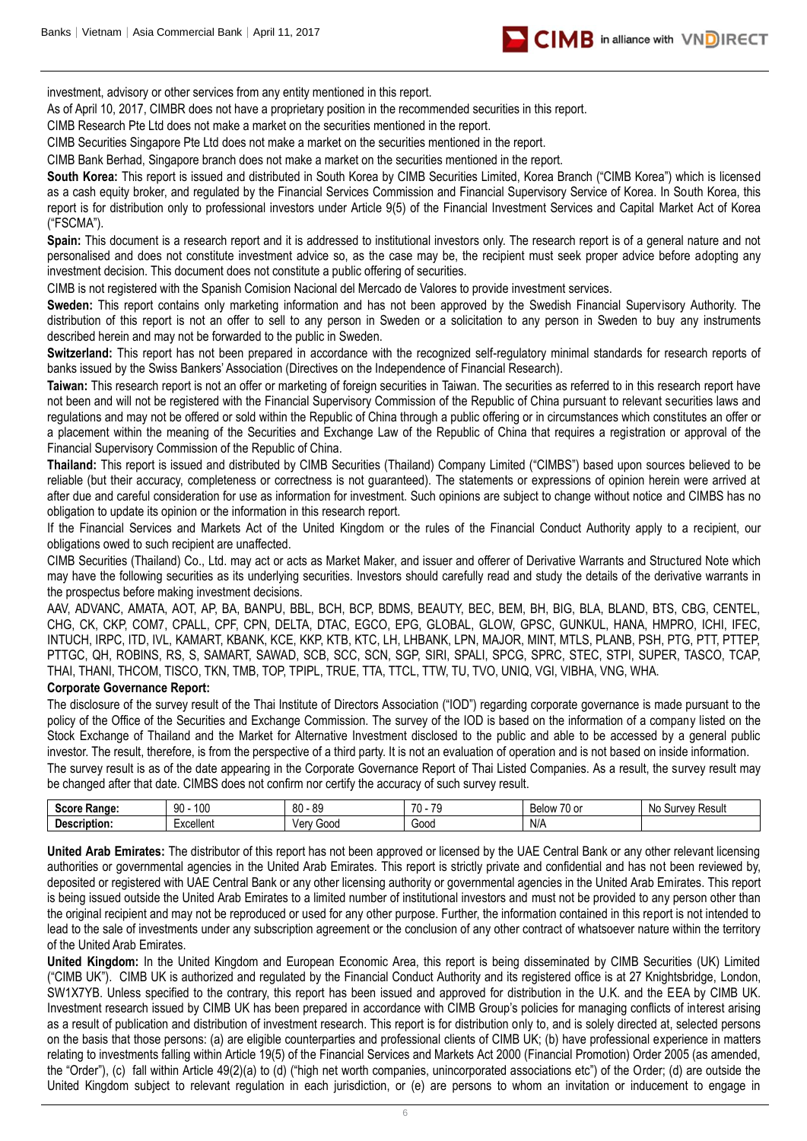

investment, advisory or other services from any entity mentioned in this report.

As of April 10, 2017, CIMBR does not have a proprietary position in the recommended securities in this report.

CIMB Research Pte Ltd does not make a market on the securities mentioned in the report.

CIMB Securities Singapore Pte Ltd does not make a market on the securities mentioned in the report.

CIMB Bank Berhad, Singapore branch does not make a market on the securities mentioned in the report.

**South Korea:** This report is issued and distributed in South Korea by CIMB Securities Limited, Korea Branch ("CIMB Korea") which is licensed as a cash equity broker, and regulated by the Financial Services Commission and Financial Supervisory Service of Korea. In South Korea, this report is for distribution only to professional investors under Article 9(5) of the Financial Investment Services and Capital Market Act of Korea ("FSCMA").

**Spain:** This document is a research report and it is addressed to institutional investors only. The research report is of a general nature and not personalised and does not constitute investment advice so, as the case may be, the recipient must seek proper advice before adopting any investment decision. This document does not constitute a public offering of securities.

CIMB is not registered with the Spanish Comision Nacional del Mercado de Valores to provide investment services.

**Sweden:** This report contains only marketing information and has not been approved by the Swedish Financial Supervisory Authority. The distribution of this report is not an offer to sell to any person in Sweden or a solicitation to any person in Sweden to buy any instruments described herein and may not be forwarded to the public in Sweden.

Switzerland: This report has not been prepared in accordance with the recognized self-regulatory minimal standards for research reports of banks issued by the Swiss Bankers' Association (Directives on the Independence of Financial Research).

Taiwan: This research report is not an offer or marketing of foreign securities in Taiwan. The securities as referred to in this research report have not been and will not be registered with the Financial Supervisory Commission of the Republic of China pursuant to relevant securities laws and regulations and may not be offered or sold within the Republic of China through a public offering or in circumstances which constitutes an offer or a placement within the meaning of the Securities and Exchange Law of the Republic of China that requires a registration or approval of the Financial Supervisory Commission of the Republic of China.

**Thailand:** This report is issued and distributed by CIMB Securities (Thailand) Company Limited ("CIMBS") based upon sources believed to be reliable (but their accuracy, completeness or correctness is not guaranteed). The statements or expressions of opinion herein were arrived at after due and careful consideration for use as information for investment. Such opinions are subject to change without notice and CIMBS has no obligation to update its opinion or the information in this research report.

If the Financial Services and Markets Act of the United Kingdom or the rules of the Financial Conduct Authority apply to a recipient, our obligations owed to such recipient are unaffected.

CIMB Securities (Thailand) Co., Ltd. may act or acts as Market Maker, and issuer and offerer of Derivative Warrants and Structured Note which may have the following securities as its underlying securities. Investors should carefully read and study the details of the derivative warrants in the prospectus before making investment decisions.

AAV, ADVANC, AMATA, AOT, AP, BA, BANPU, BBL, BCH, BCP, BDMS, BEAUTY, BEC, BEM, BH, BIG, BLA, BLAND, BTS, CBG, CENTEL, CHG, CK, CKP, COM7, CPALL, CPF, CPN, DELTA, DTAC, EGCO, EPG, GLOBAL, GLOW, GPSC, GUNKUL, HANA, HMPRO, ICHI, IFEC, INTUCH, IRPC, ITD, IVL, KAMART, KBANK, KCE, KKP, KTB, KTC, LH, LHBANK, LPN, MAJOR, MINT, MTLS, PLANB, PSH, PTG, PTT, PTTEP, PTTGC, QH, ROBINS, RS, S, SAMART, SAWAD, SCB, SCC, SCN, SGP, SIRI, SPALI, SPCG, SPRC, STEC, STPI, SUPER, TASCO, TCAP, THAI, THANI, THCOM, TISCO, TKN, TMB, TOP, TPIPL, TRUE, TTA, TTCL, TTW, TU, TVO, UNIQ, VGI, VIBHA, VNG, WHA.

#### **Corporate Governance Report:**

The disclosure of the survey result of the Thai Institute of Directors Association ("IOD") regarding corporate governance is made pursuant to the policy of the Office of the Securities and Exchange Commission. The survey of the IOD is based on the information of a company listed on the Stock Exchange of Thailand and the Market for Alternative Investment disclosed to the public and able to be accessed by a general public investor. The result, therefore, is from the perspective of a third party. It is not an evaluation of operation and is not based on inside information.

The survey result is as of the date appearing in the Corporate Governance Report of Thai Listed Companies. As a result, the survey result may be changed after that date. CIMBS does not confirm nor certify the accuracy of such survey result.

| – Scor i<br>----<br><b>FINDE.</b> | 100<br>o٥<br>. .<br>JU | 80<br><b>RQ</b><br>v | $\rightarrow$<br>$\sim$<br>. . | - 1<br>וח ו<br>レヘハ<br>belu<br>v<br>$\cdot$ | ≺esult<br><b>IMAV</b><br>N0 |
|-----------------------------------|------------------------|----------------------|--------------------------------|--------------------------------------------|-----------------------------|
| <br>$-$ - $ -$<br>ription:        | xcellent               | oodذ<br>Ver l        | Good                           | N/A                                        |                             |

**United Arab Emirates:** The distributor of this report has not been approved or licensed by the UAE Central Bank or any other relevant licensing authorities or governmental agencies in the United Arab Emirates. This report is strictly private and confidential and has not been reviewed by, deposited or registered with UAE Central Bank or any other licensing authority or governmental agencies in the United Arab Emirates. This report is being issued outside the United Arab Emirates to a limited number of institutional investors and must not be provided to any person other than the original recipient and may not be reproduced or used for any other purpose. Further, the information contained in this report is not intended to lead to the sale of investments under any subscription agreement or the conclusion of any other contract of whatsoever nature within the territory of the United Arab Emirates.

**United Kingdom:** In the United Kingdom and European Economic Area, this report is being disseminated by CIMB Securities (UK) Limited ("CIMB UK"). CIMB UK is authorized and regulated by the Financial Conduct Authority and its registered office is at 27 Knightsbridge, London, SW1X7YB. Unless specified to the contrary, this report has been issued and approved for distribution in the U.K. and the EEA by CIMB UK. Investment research issued by CIMB UK has been prepared in accordance with CIMB Group's policies for managing conflicts of interest arising as a result of publication and distribution of investment research. This report is for distribution only to, and is solely directed at, selected persons on the basis that those persons: (a) are eligible counterparties and professional clients of CIMB UK; (b) have professional experience in matters relating to investments falling within Article 19(5) of the Financial Services and Markets Act 2000 (Financial Promotion) Order 2005 (as amended, the "Order"), (c) fall within Article 49(2)(a) to (d) ("high net worth companies, unincorporated associations etc") of the Order; (d) are outside the United Kingdom subject to relevant regulation in each jurisdiction, or (e) are persons to whom an invitation or inducement to engage in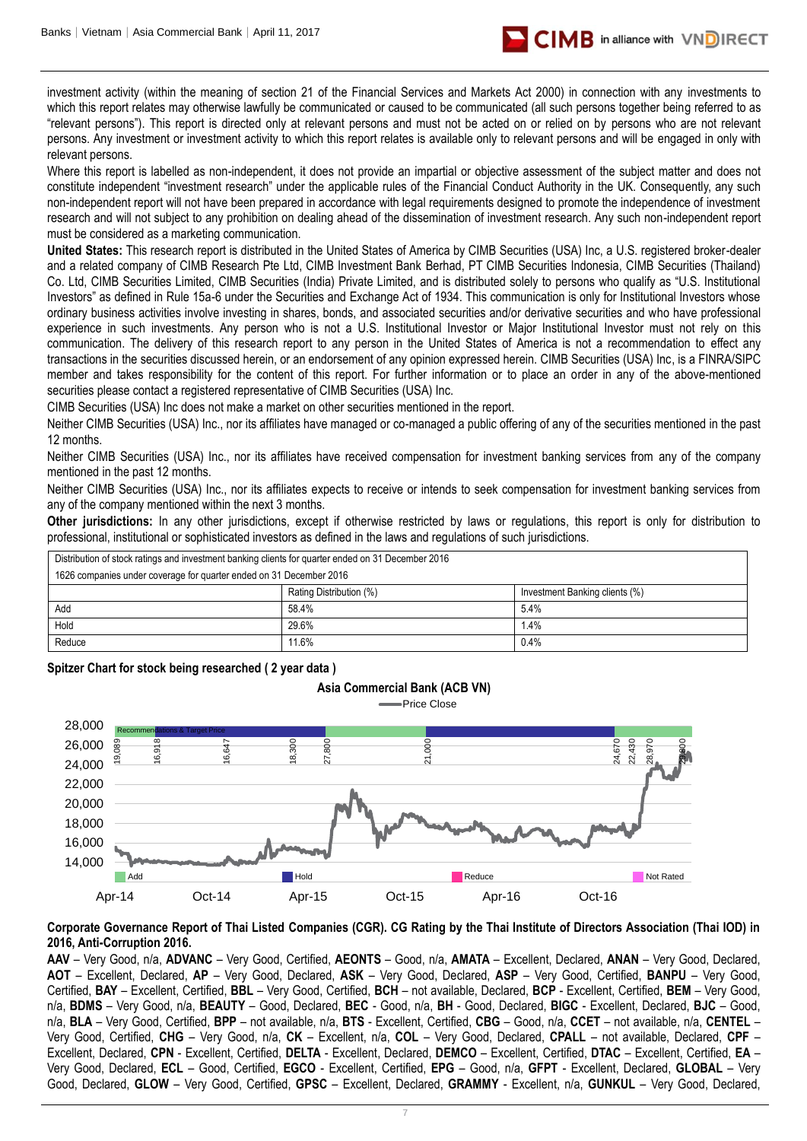

investment activity (within the meaning of section 21 of the Financial Services and Markets Act 2000) in connection with any investments to which this report relates may otherwise lawfully be communicated or caused to be communicated (all such persons together being referred to as "relevant persons"). This report is directed only at relevant persons and must not be acted on or relied on by persons who are not relevant persons. Any investment or investment activity to which this report relates is available only to relevant persons and will be engaged in only with relevant persons.

Where this report is labelled as non-independent, it does not provide an impartial or objective assessment of the subject matter and does not constitute independent "investment research" under the applicable rules of the Financial Conduct Authority in the UK. Consequently, any such non-independent report will not have been prepared in accordance with legal requirements designed to promote the independence of investment research and will not subject to any prohibition on dealing ahead of the dissemination of investment research. Any such non-independent report must be considered as a marketing communication.

**United States:** This research report is distributed in the United States of America by CIMB Securities (USA) Inc, a U.S. registered broker-dealer and a related company of CIMB Research Pte Ltd, CIMB Investment Bank Berhad, PT CIMB Securities Indonesia, CIMB Securities (Thailand) Co. Ltd, CIMB Securities Limited, CIMB Securities (India) Private Limited, and is distributed solely to persons who qualify as "U.S. Institutional Investors" as defined in Rule 15a-6 under the Securities and Exchange Act of 1934. This communication is only for Institutional Investors whose ordinary business activities involve investing in shares, bonds, and associated securities and/or derivative securities and who have professional experience in such investments. Any person who is not a U.S. Institutional Investor or Major Institutional Investor must not rely on this communication. The delivery of this research report to any person in the United States of America is not a recommendation to effect any transactions in the securities discussed herein, or an endorsement of any opinion expressed herein. CIMB Securities (USA) Inc, is a FINRA/SIPC member and takes responsibility for the content of this report. For further information or to place an order in any of the above-mentioned securities please contact a registered representative of CIMB Securities (USA) Inc.

CIMB Securities (USA) Inc does not make a market on other securities mentioned in the report.

Neither CIMB Securities (USA) Inc., nor its affiliates have managed or co-managed a public offering of any of the securities mentioned in the past 12 months.

Neither CIMB Securities (USA) Inc., nor its affiliates have received compensation for investment banking services from any of the company mentioned in the past 12 months.

Neither CIMB Securities (USA) Inc., nor its affiliates expects to receive or intends to seek compensation for investment banking services from any of the company mentioned within the next 3 months.

**Other jurisdictions:** In any other jurisdictions, except if otherwise restricted by laws or regulations, this report is only for distribution to professional, institutional or sophisticated investors as defined in the laws and regulations of such jurisdictions.

| Distribution of stock ratings and investment banking clients for quarter ended on 31 December 2016 |                         |                                |  |  |
|----------------------------------------------------------------------------------------------------|-------------------------|--------------------------------|--|--|
| 1626 companies under coverage for quarter ended on 31 December 2016                                |                         |                                |  |  |
|                                                                                                    | Rating Distribution (%) | Investment Banking clients (%) |  |  |
| Add                                                                                                | 58.4%                   | 5.4%                           |  |  |
| Hold                                                                                               | 29.6%                   | 1.4%                           |  |  |
| Reduce                                                                                             | 11.6%                   | 0.4%                           |  |  |

#### **Spitzer Chart for stock being researched ( 2 year data )**



**Corporate Governance Report of Thai Listed Companies (CGR). CG Rating by the Thai Institute of Directors Association (Thai IOD) in 2016, Anti-Corruption 2016.**

**AAV** – Very Good, n/a, **ADVANC** – Very Good, Certified, **AEONTS** – Good, n/a, **AMATA** – Excellent, Declared, **ANAN** – Very Good, Declared, **AOT** – Excellent, Declared, **AP** – Very Good, Declared, **ASK** – Very Good, Declared, **ASP** – Very Good, Certified, **BANPU** – Very Good, Certified, **BAY** – Excellent, Certified, **BBL** – Very Good, Certified, **BCH** – not available, Declared, **BCP** - Excellent, Certified, **BEM** – Very Good, n/a, **BDMS** – Very Good, n/a, **BEAUTY** – Good, Declared, **BEC** - Good, n/a, **BH** - Good, Declared, **BIGC** - Excellent, Declared, **BJC** – Good, n/a, **BLA** – Very Good, Certified, **BPP** – not available, n/a, **BTS** - Excellent, Certified, **CBG** – Good, n/a, **CCET** – not available, n/a, **CENTEL** – Very Good, Certified, **CHG** – Very Good, n/a, **CK** – Excellent, n/a, **COL** – Very Good, Declared, **CPALL** – not available, Declared, **CPF** – Excellent, Declared, **CPN** - Excellent, Certified, **DELTA** - Excellent, Declared, **DEMCO** – Excellent, Certified, **DTAC** – Excellent, Certified, **EA** – Very Good, Declared, **ECL** – Good, Certified, **EGCO** - Excellent, Certified, **EPG** – Good, n/a, **GFPT** - Excellent, Declared, **GLOBAL** – Very